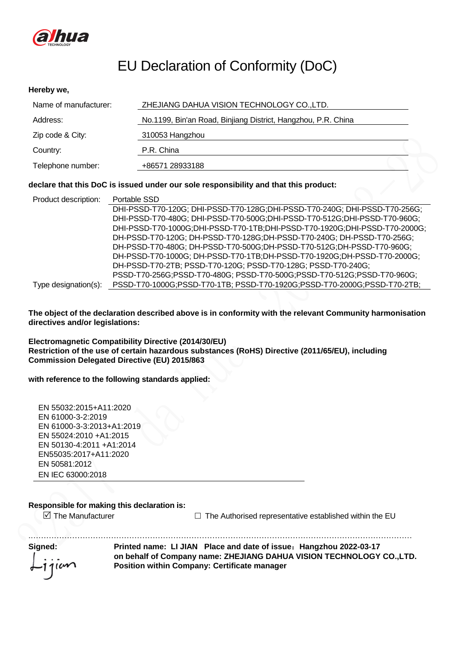

# EU Declaration of Conformity (DoC)

### **Hereby we,**

| Name of manufacturer: | ZHEJIANG DAHUA VISION TECHNOLOGY CO., LTD.                    |
|-----------------------|---------------------------------------------------------------|
| Address:              | No.1199, Bin'an Road, Binjiang District, Hangzhou, P.R. China |
| Zip code & City:      | 310053 Hangzhou                                               |
| Country:              | P.R. China                                                    |
| Telephone number:     | +86571 28933188                                               |

### **declare that this DoC is issued under our sole responsibility and that this product:**

| Product description: | Portable SSD                                                               |
|----------------------|----------------------------------------------------------------------------|
|                      | DHI-PSSD-T70-120G; DHI-PSSD-T70-128G;DHI-PSSD-T70-240G; DHI-PSSD-T70-256G; |
|                      | DHI-PSSD-T70-480G; DHI-PSSD-T70-500G:DHI-PSSD-T70-512G:DHI-PSSD-T70-960G;  |
|                      | DHI-PSSD-T70-1000G;DHI-PSSD-T70-1TB;DHI-PSSD-T70-1920G;DHI-PSSD-T70-2000G; |
|                      | DH-PSSD-T70-120G; DH-PSSD-T70-128G;DH-PSSD-T70-240G; DH-PSSD-T70-256G;     |
|                      | DH-PSSD-T70-480G; DH-PSSD-T70-500G; DH-PSSD-T70-512G; DH-PSSD-T70-960G;    |
|                      | DH-PSSD-T70-1000G; DH-PSSD-T70-1TB;DH-PSSD-T70-1920G;DH-PSSD-T70-2000G;    |
|                      | DH-PSSD-T70-2TB; PSSD-T70-120G; PSSD-T70-128G; PSSD-T70-240G;              |
|                      | PSSD-T70-256G;PSSD-T70-480G; PSSD-T70-500G;PSSD-T70-512G;PSSD-T70-960G;    |
| Type designation(s): | PSSD-T70-1000G;PSSD-T70-1TB; PSSD-T70-1920G;PSSD-T70-2000G;PSSD-T70-2TB;   |

**The object of the declaration described above is in conformity with the relevant Community harmonisation directives and/or legislations:** 

**Electromagnetic Compatibility Directive (2014/30/EU) Restriction of the use of certain hazardous substances (RoHS) Directive (2011/65/EU), including Commission Delegated Directive (EU) 2015/863**

**with reference to the following standards applied:**

EN 55032:2015+A11:2020 EN 61000-3-2:2019 EN 61000-3-3:2013+A1:2019 EN 55024:2010 +A1:2015 EN 50130-4:2011 +A1:2014 EN55035:2017+A11:2020 EN 50581:2012 EN IEC 63000:2018

### **Responsible for making this declaration is:**

 $\Box$  The Manufacturer  $\Box$  The Authorised representative established within the EU

.………………………………………………………………………………………………………………………………… **Signed: Printed name: LI JIAN Place and date of issue**:**Hangzhou 2022-03-17 on behalf of Company name: ZHEJIANG DAHUA VISION TECHNOLOGY CO.,LTD.**  $\omega$ **Position within Company: Certificate manager**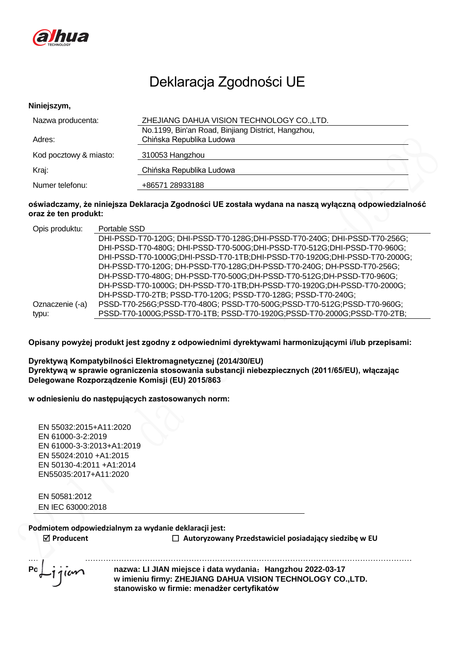

# Deklaracja Zgodności UE

#### **Niniejszym,**

| Nazwa producenta:      | ZHEJIANG DAHUA VISION TECHNOLOGY CO., LTD.         |  |
|------------------------|----------------------------------------------------|--|
|                        | No.1199, Bin'an Road, Binjiang District, Hangzhou, |  |
| Adres:                 | Chińska Republika Ludowa                           |  |
| Kod pocztowy & miasto: | 310053 Hangzhou                                    |  |
| Kraj:                  | Chińska Republika Ludowa                           |  |
| Numer telefonu:        | +86571 28933188                                    |  |

## **oświadczamy, że niniejsza Deklaracja Zgodności UE została wydana na naszą wyłączną odpowiedzialność oraz że ten produkt:**

| Opis produktu:  | Portable SSD                                                                |
|-----------------|-----------------------------------------------------------------------------|
|                 | DHI-PSSD-T70-120G; DHI-PSSD-T70-128G; DHI-PSSD-T70-240G; DHI-PSSD-T70-256G; |
|                 | DHI-PSSD-T70-480G; DHI-PSSD-T70-500G; DHI-PSSD-T70-512G; DHI-PSSD-T70-960G; |
|                 | DHI-PSSD-T70-1000G;DHI-PSSD-T70-1TB;DHI-PSSD-T70-1920G;DHI-PSSD-T70-2000G;  |
|                 | DH-PSSD-T70-120G; DH-PSSD-T70-128G;DH-PSSD-T70-240G; DH-PSSD-T70-256G;      |
|                 | DH-PSSD-T70-480G; DH-PSSD-T70-500G; DH-PSSD-T70-512G; DH-PSSD-T70-960G;     |
|                 | DH-PSSD-T70-1000G; DH-PSSD-T70-1TB;DH-PSSD-T70-1920G;DH-PSSD-T70-2000G;     |
|                 | DH-PSSD-T70-2TB; PSSD-T70-120G; PSSD-T70-128G; PSSD-T70-240G;               |
| Oznaczenie (-a) | PSSD-T70-256G;PSSD-T70-480G; PSSD-T70-500G;PSSD-T70-512G;PSSD-T70-960G;     |
| typu:           | PSSD-T70-1000G;PSSD-T70-1TB; PSSD-T70-1920G;PSSD-T70-2000G;PSSD-T70-2TB;    |
|                 |                                                                             |

**Opisany powyżej produkt jest zgodny z odpowiednimi dyrektywami harmonizującymi i/lub przepisami:**

**Dyrektywą Kompatybilności Elektromagnetycznej (2014/30/EU) Dyrektywą w sprawie ograniczenia stosowania substancji niebezpiecznych (2011/65/EU), włączając Delegowane Rozporządzenie Komisji (EU) 2015/863**

**w odniesieniu do następujących zastosowanych norm:**

EN 55032:2015+A11:2020 EN 61000-3-2:2019 EN 61000-3-3:2013+A1:2019 EN 55024:2010 +A1:2015 EN 50130-4:2011 +A1:2014 EN55035:2017+A11:2020

EN 50581:2012 EN IEC 63000:2018

### **Podmiotem odpowiedzialnym za wydanie deklaracji jest:**

**Producent Autoryzowany Przedstawiciel posiadający siedzibę w EU**

.………………………………………………………………………………………………………………………………… **Podpisane: nazwa: LI JIAN miejsce i data wydania**:**Hangzhou 2022-03-17 w imieniu firmy: ZHEJIANG DAHUA VISION TECHNOLOGY CO.,LTD. stanowisko w firmie: menadżer certyfikatów**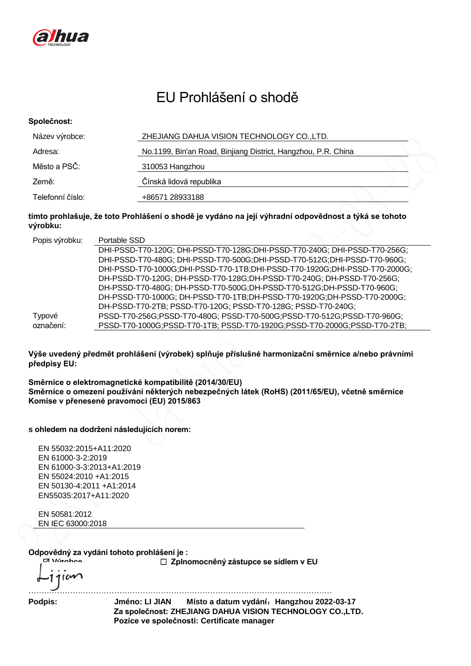

# EU Prohlášení o shodě

### **Společnost:**

| Název výrobce:   | ZHEJIANG DAHUA VISION TECHNOLOGY CO., LTD.                    |
|------------------|---------------------------------------------------------------|
| Adresa:          | No.1199, Bin'an Road, Binjiang District, Hangzhou, P.R. China |
| Město a PSČ:     | 310053 Hangzhou                                               |
| Země:            | Čínská lidová republika                                       |
| Telefonní číslo: | +86571 28933188                                               |

## **tímto prohlašuje, že toto Prohlášení o shodě je vydáno na její výhradní odpovědnost a týká se tohoto výrobku:**

| Popis výrobku: | Portable SSD                                                                |
|----------------|-----------------------------------------------------------------------------|
|                | DHI-PSSD-T70-120G; DHI-PSSD-T70-128G;DHI-PSSD-T70-240G; DHI-PSSD-T70-256G;  |
|                | DHI-PSSD-T70-480G; DHI-PSSD-T70-500G; DHI-PSSD-T70-512G; DHI-PSSD-T70-960G; |
|                | DHI-PSSD-T70-1000G;DHI-PSSD-T70-1TB;DHI-PSSD-T70-1920G;DHI-PSSD-T70-2000G;  |
|                | DH-PSSD-T70-120G; DH-PSSD-T70-128G;DH-PSSD-T70-240G; DH-PSSD-T70-256G;      |
|                | DH-PSSD-T70-480G; DH-PSSD-T70-500G; DH-PSSD-T70-512G; DH-PSSD-T70-960G;     |
|                | DH-PSSD-T70-1000G; DH-PSSD-T70-1TB;DH-PSSD-T70-1920G;DH-PSSD-T70-2000G;     |
|                | DH-PSSD-T70-2TB; PSSD-T70-120G; PSSD-T70-128G; PSSD-T70-240G;               |
| Typové         | PSSD-T70-256G;PSSD-T70-480G; PSSD-T70-500G;PSSD-T70-512G;PSSD-T70-960G;     |
| označení:      | PSSD-T70-1000G;PSSD-T70-1TB; PSSD-T70-1920G;PSSD-T70-2000G;PSSD-T70-2TB;    |
|                |                                                                             |

**Výše uvedený předmět prohlášení (výrobek) splňuje příslušné harmonizační směrnice a/nebo právními předpisy EU:**

**Směrnice o elektromagnetické kompatibilitě (2014/30/EU) Směrnice o omezení používání některých nebezpečných látek (RoHS) (2011/65/EU), včetně směrnice Komise v přenesené pravomoci (EU) 2015/863**

**s ohledem na dodržení následujících norem:**

EN 55032:2015+A11:2020 EN 61000-3-2:2019 EN 61000-3-3:2013+A1:2019 EN 55024:2010 +A1:2015 EN 50130-4:2011 +A1:2014 EN55035:2017+A11:2020

EN 50581:2012 EN IEC 63000:2018

**Odpovědný za vydání tohoto prohlášení je :**

**Výrobce Zplnomocněný zástupce se sídlem v EU**

………………………………………………………………………………………………………

 $\overline{\omega}$ 

**Podpis: Jméno: LI JIAN Místo a datum vydání**:**Hangzhou 2022-03-17 Za společnost: ZHEJIANG DAHUA VISION TECHNOLOGY CO.,LTD. Pozice ve společnosti: Certificate manager**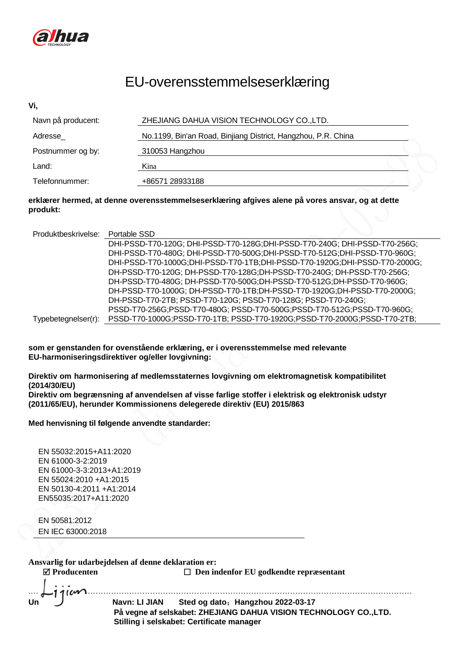

# EU-overensstemmelseserklæring

| Vi,                |                                                               |  |
|--------------------|---------------------------------------------------------------|--|
| Navn på producent: | ZHEJIANG DAHUA VISION TECHNOLOGY CO., LTD.                    |  |
| Adresse            | No.1199, Bin'an Road, Binjiang District, Hangzhou, P.R. China |  |
| Postnummer og by:  | 310053 Hangzhou                                               |  |
| Land:              | Kina                                                          |  |
| Telefonnummer:     | +86571 28933188                                               |  |

### **erklærer hermed, at denne overensstemmelseserklæring afgives alene på vores ansvar, og at dette produkt:**

| Produktbeskrivelse: Portable SSD |                                                                             |
|----------------------------------|-----------------------------------------------------------------------------|
|                                  | DHI-PSSD-T70-120G; DHI-PSSD-T70-128G;DHI-PSSD-T70-240G; DHI-PSSD-T70-256G;  |
|                                  | DHI-PSSD-T70-480G; DHI-PSSD-T70-500G; DHI-PSSD-T70-512G; DHI-PSSD-T70-960G; |
|                                  | DHI-PSSD-T70-1000G;DHI-PSSD-T70-1TB;DHI-PSSD-T70-1920G;DHI-PSSD-T70-2000G;  |
|                                  | DH-PSSD-T70-120G; DH-PSSD-T70-128G;DH-PSSD-T70-240G; DH-PSSD-T70-256G;      |
|                                  | DH-PSSD-T70-480G; DH-PSSD-T70-500G; DH-PSSD-T70-512G; DH-PSSD-T70-960G;     |
|                                  | DH-PSSD-T70-1000G; DH-PSSD-T70-1TB;DH-PSSD-T70-1920G;DH-PSSD-T70-2000G;     |
|                                  | DH-PSSD-T70-2TB; PSSD-T70-120G; PSSD-T70-128G; PSSD-T70-240G;               |
|                                  | PSSD-T70-256G;PSSD-T70-480G; PSSD-T70-500G;PSSD-T70-512G;PSSD-T70-960G;     |
| Typebetegnelser(r):              | PSSD-T70-1000G;PSSD-T70-1TB; PSSD-T70-1920G;PSSD-T70-2000G;PSSD-T70-2TB;    |

**som er genstanden for ovenstående erklæring, er i overensstemmelse med relevante EU-harmoniseringsdirektiver og/eller lovgivning:**

**Direktiv om harmonisering af medlemsstaternes lovgivning om elektromagnetisk kompatibilitet (2014/30/EU)**

**Direktiv om begræ nsning af anvendelsen af visse farlige stoffer i elektrisk og elektronisk udstyr (2011/65/EU), herunder Kommissionens delegerede direktiv (EU) 2015/863**

**Med henvisning til følgende anvendte standarder:**

EN 55032:2015+A11:2020 EN 61000-3-2:2019 EN 61000-3-3:2013+A1:2019 EN 55024:2010 +A1:2015 EN 50130-4:2011 +A1:2014 EN55035:2017+A11:2020

EN 50581:2012 EN IEC 63000:2018

**Ansvarlig for udarbejdelsen af denne deklaration er:**

 $\omega$ 

**Producenten Den indenfor EU godkendte repræsentant**

**Underskrift: Navn: LI JIAN Sted og dato**:**Hangzhou 2022-03-17 På vegne af selskabet: ZHEJIANG DAHUA VISION TECHNOLOGY CO.,LTD. Stilling i selskabet: Certificate manager**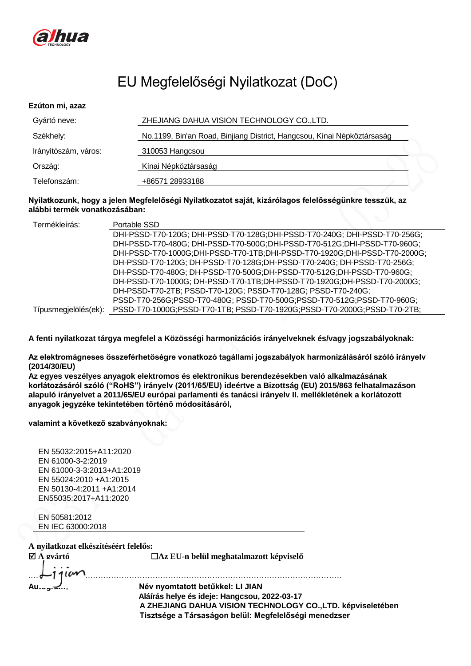

# EU Megfelelőségi Nyilatkozat (DoC)

| Ezúton mi, azaz      |                                                                         |
|----------------------|-------------------------------------------------------------------------|
| Gyártó neve:         | ZHEJIANG DAHUA VISION TECHNOLOGY CO., LTD.                              |
| Székhely:            | No.1199, Bin'an Road, Binjiang District, Hangcsou, Kínai Népköztársaság |
| Irányítószám, város: | 310053 Hangcsou                                                         |
| Ország:              | Kínai Népköztársaság                                                    |
| Telefonszám:         | +86571 28933188                                                         |

### **Nyilatkozunk, hogy a jelen Megfelelőségi Nyilatkozatot saját, kizárólagos felelősségünkre tesszük, az alábbi termék vonatkozásában:**

| Termékleírás:        | Portable SSD                                                                |
|----------------------|-----------------------------------------------------------------------------|
|                      | DHI-PSSD-T70-120G; DHI-PSSD-T70-128G; DHI-PSSD-T70-240G; DHI-PSSD-T70-256G; |
|                      | DHI-PSSD-T70-480G; DHI-PSSD-T70-500G; DHI-PSSD-T70-512G; DHI-PSSD-T70-960G; |
|                      | DHI-PSSD-T70-1000G;DHI-PSSD-T70-1TB;DHI-PSSD-T70-1920G;DHI-PSSD-T70-2000G;  |
|                      | DH-PSSD-T70-120G; DH-PSSD-T70-128G; DH-PSSD-T70-240G; DH-PSSD-T70-256G;     |
|                      | DH-PSSD-T70-480G; DH-PSSD-T70-500G; DH-PSSD-T70-512G; DH-PSSD-T70-960G;     |
|                      | DH-PSSD-T70-1000G; DH-PSSD-T70-1TB;DH-PSSD-T70-1920G;DH-PSSD-T70-2000G;     |
|                      | DH-PSSD-T70-2TB; PSSD-T70-120G; PSSD-T70-128G; PSSD-T70-240G;               |
|                      | PSSD-T70-256G;PSSD-T70-480G; PSSD-T70-500G;PSSD-T70-512G;PSSD-T70-960G;     |
| Típusmegjelölés(ek): | PSSD-T70-1000G;PSSD-T70-1TB; PSSD-T70-1920G;PSSD-T70-2000G;PSSD-T70-2TB;    |

**A fenti nyilatkozat tárgya megfelel a Közösségi harmonizációs irányelveknek és/vagy jogszabályoknak:** 

**Az elektromágneses összeférhetőségre vonatkozó tagállami jogszabályok harmonizálásáról szóló irányelv (2014/30/EU)**

**Az egyes veszélyes anyagok elektromos és elektronikus berendezésekben való alkalmazásának korlátozásáról szóló ("RoHS") irányelv (2011/65/EU) ideértve a Bizottság (EU) 2015/863 felhatalmazáson alapuló irányelvet a 2011/65/EU európai parlamenti és tanácsi irányelv II. mellékletének a korlátozott anyagok jegyzéke tekintetében történő módosításáról,**

### **valamint a következő szabványoknak:**

EN 55032:2015+A11:2020 EN 61000-3-2:2019 EN 61000-3-3:2013+A1:2019 EN 55024:2010 +A1:2015 EN 50130-4:2011 +A1:2014 EN55035:2017+A11:2020

EN 50581:2012 EN IEC 63000:2018

## **A nyilatkozat elkészítéséért felelős:**

**A gyártó Az EU-n belül meghatalmazott képviselő**

.………………………………………………………………………………………………………… **Autogram**: **Név nyomtatott betűkkel: LI JIAN Aláírás helye és ideje: Hangcsou, 2022-03-17 A ZHEJIANG DAHUA VISION TECHNOLOGY CO.,LTD. képviseletében Tisztsége a Társaságon belül: Megfelelőségi menedzser**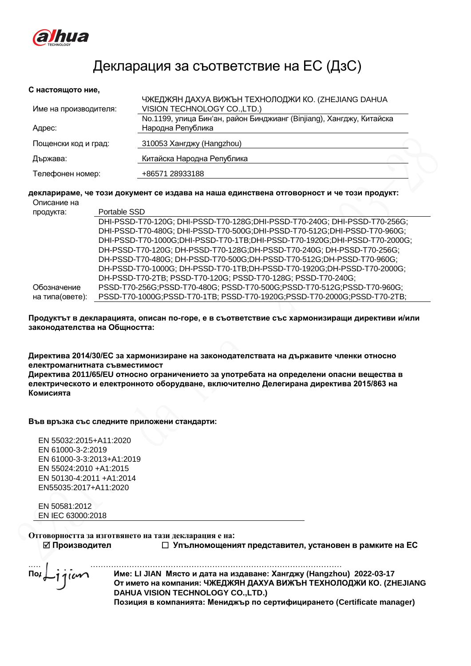

# Декларация за съответствие на ЕС (ДзС)

#### **С настоящото ние,**

|                       | ЧЖЕДЖЯН ДАХУА ВИЖЪН ТЕХНОЛОДЖИ КО. (ZHEJIANG DAHUA                   |
|-----------------------|----------------------------------------------------------------------|
| Име на производителя: | VISION TECHNOLOGY CO., LTD.)                                         |
|                       | No.1199, улица Бин'ан, район Бинджианг (Binjiang), Хангджу, Китайска |
| Адрес:                | Народна Република                                                    |
| Пощенски код и град:  | 310053 Хангджу (Hangzhou)                                            |
| Държава:              | Китайска Народна Република                                           |
| Телефонен номер:      | +86571 28933188                                                      |

#### **декларираме, че този документ се издава на наша единствена отговорност и че този продукт:** Описание на

| продукта:       | Portable SSD                                                                |
|-----------------|-----------------------------------------------------------------------------|
|                 | DHI-PSSD-T70-120G; DHI-PSSD-T70-128G;DHI-PSSD-T70-240G; DHI-PSSD-T70-256G;  |
|                 | DHI-PSSD-T70-480G; DHI-PSSD-T70-500G; DHI-PSSD-T70-512G; DHI-PSSD-T70-960G; |
|                 | DHI-PSSD-T70-1000G;DHI-PSSD-T70-1TB;DHI-PSSD-T70-1920G;DHI-PSSD-T70-2000G;  |
|                 | DH-PSSD-T70-120G; DH-PSSD-T70-128G;DH-PSSD-T70-240G; DH-PSSD-T70-256G;      |
|                 | DH-PSSD-T70-480G; DH-PSSD-T70-500G;DH-PSSD-T70-512G;DH-PSSD-T70-960G;       |
|                 | DH-PSSD-T70-1000G; DH-PSSD-T70-1TB;DH-PSSD-T70-1920G;DH-PSSD-T70-2000G;     |
|                 | DH-PSSD-T70-2TB; PSSD-T70-120G; PSSD-T70-128G; PSSD-T70-240G;               |
| Обозначение     | PSSD-T70-256G;PSSD-T70-480G; PSSD-T70-500G;PSSD-T70-512G;PSSD-T70-960G;     |
| на типа(овете): | PSSD-T70-1000G;PSSD-T70-1TB; PSSD-T70-1920G;PSSD-T70-2000G;PSSD-T70-2TB;    |

### **Продуктът в декларацията, описан по-горе, е в съответствие със хармонизиращи директиви и/или законодателства на Общността:**

**Директива 2014/30/ЕС за хармонизиране на законодателствата на държавите членки относно електромагнитната съвместимост** 

**Директива 2011/65/EU относно ограничението за употребата на определени опасни вещества в електрическото и електронното оборудване, включително Делегирана директива 2015/863 на Комисията** 

### **Във връзка със следните приложени стандарти:**

EN 55032:2015+A11:2020 EN 61000-3-2:2019 EN 61000-3-3:2013+A1:2019 EN 55024:2010 +A1:2015 EN 50130-4:2011 +A1:2014 EN55035:2017+A11:2020

EN 50581:2012 EN IEC 63000:2018

**Отговорността за изготвянето на тази декларация е на:**

**Производител Упълномощеният представител, установен в рамките на ЕС**

 $\begin{equation*} \begin{array}{r} \begin{array}{r} \begin{array}{r} \begin{array}{r} \begin{array}{r} \begin{array}{r} \begin{array}{r} \end{array} \\ \begin{array}{r} \end{array} \\ \begin{array}{r} \end{array} \\ \begin{array}{r} \end{array} \\ \end{array} \\ \end{array} \\ \begin{array}{r} \end{array} \\ \begin{array}{r} \end{array} \\ \begin{array}{r} \end{array} \\ \begin{array}{r} \end{array} \\ \end{array} \\ \end{array} \\ \end{equation*} \end{equation*} \end{equation*} \end{equation*} \begin{equation*} \begin{array}{r} \$ **Подпис: Име: LI JIAN Място и дата на издаване: Хангджу (Hangzhou) 2022-03-17 От името на компания: ЧЖЕДЖЯН ДАХУА ВИЖЪН ТЕХНОЛОДЖИ КО. (ZHEJIANG DAHUA VISION TECHNOLOGY CO.,LTD.)**

**Позиция в компанията: Мениджър по сертифицирането (Certificate manager)**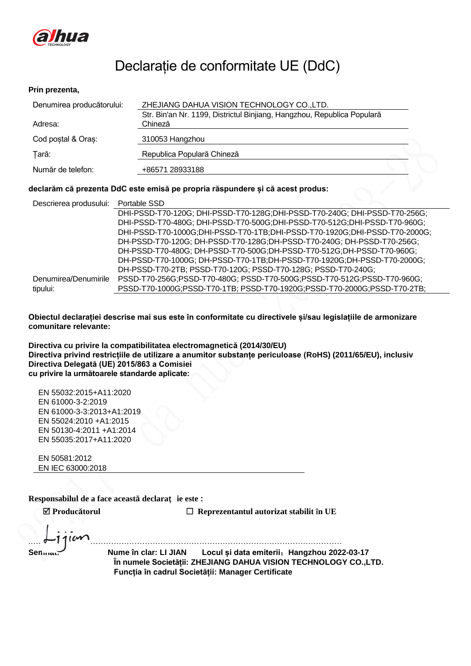

# Declarație de conformitate UE (DdC)

### **Prin prezenta,**

| Denumirea producătorului: | ZHEJIANG DAHUA VISION TECHNOLOGY CO.,LTD.<br>Str. Bin'an Nr. 1199, Districtul Binjiang, Hangzhou, Republica Populară |  |  |
|---------------------------|----------------------------------------------------------------------------------------------------------------------|--|--|
| Adresa:                   | Chineză                                                                                                              |  |  |
| Cod postal & Oras:        | 310053 Hangzhou                                                                                                      |  |  |
| Tară:                     | Republica Populară Chineză                                                                                           |  |  |
| Număr de telefon:         | +86571 28933188                                                                                                      |  |  |

### **declarăm că prezenta DdC este emisă pe propria răspundere și că acest produs:**

| Descrierea produsului: Portable SSD |                                                                             |
|-------------------------------------|-----------------------------------------------------------------------------|
|                                     | DHI-PSSD-T70-120G; DHI-PSSD-T70-128G;DHI-PSSD-T70-240G; DHI-PSSD-T70-256G;  |
|                                     | DHI-PSSD-T70-480G; DHI-PSSD-T70-500G; DHI-PSSD-T70-512G; DHI-PSSD-T70-960G; |
|                                     | DHI-PSSD-T70-1000G;DHI-PSSD-T70-1TB;DHI-PSSD-T70-1920G;DHI-PSSD-T70-2000G;  |
|                                     | DH-PSSD-T70-120G; DH-PSSD-T70-128G;DH-PSSD-T70-240G; DH-PSSD-T70-256G;      |
|                                     | DH-PSSD-T70-480G; DH-PSSD-T70-500G; DH-PSSD-T70-512G; DH-PSSD-T70-960G;     |
|                                     | DH-PSSD-T70-1000G; DH-PSSD-T70-1TB;DH-PSSD-T70-1920G;DH-PSSD-T70-2000G;     |
|                                     | DH-PSSD-T70-2TB; PSSD-T70-120G; PSSD-T70-128G; PSSD-T70-240G;               |
| Denumirea/Denumirile                | PSSD-T70-256G;PSSD-T70-480G; PSSD-T70-500G;PSSD-T70-512G;PSSD-T70-960G;     |
| tipului:                            | PSSD-T70-1000G;PSSD-T70-1TB; PSSD-T70-1920G;PSSD-T70-2000G;PSSD-T70-2TB;    |

**Obiectul declarației descrise mai sus este în conformitate cu directivele și/sau legislațiile de armonizare comunitare relevante:** 

**Directiva cu privire la compatibilitatea electromagnetică (2014/30/EU) Directiva privind restricțiile de utilizare a anumitor substanțe periculoase (RoHS) (2011/65/EU), inclusiv Directiva Delegată (UE) 2015/863 a Comisiei cu privire la următoarele standarde aplicate:**

EN 55032:2015+A11:2020 EN 61000-3-2:2019 EN 61000-3-3:2013+A1:2019 EN 55024:2010 +A1:2015 EN 50130-4:2011 +A1:2014 EN 55035:2017+A11:2020

EN 50581:2012 EN IEC 63000:2018

**Responsabilul de a face această declaraț ie este :**

**Producătorul Reprezentantul autorizat stabilit în UE**

.………………………………………………………………………………………………………… **Semnat: Nume în clar: LI JIAN Locul și data emiterii**:**Hangzhou 2022-03-17 În numele Societății: ZHEJIANG DAHUA VISION TECHNOLOGY CO.,LTD. Funcția în cadrul Societății: Manager Certificate**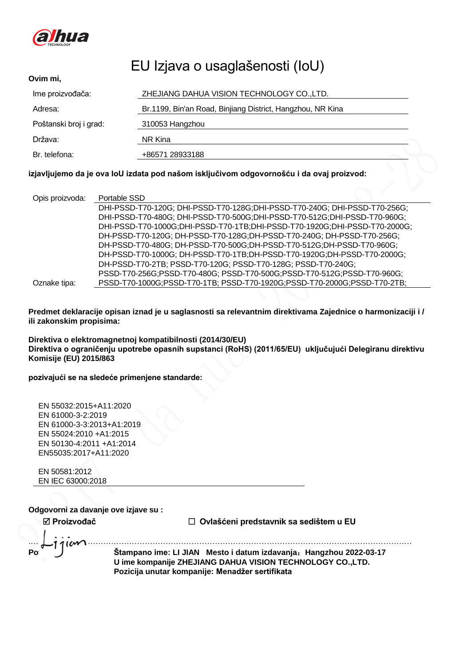

## EU Izjava o usaglašenosti (IoU) **Ovim mi,** Ime proizvođača: ZHEJIANG DAHUA VISION TECHNOLOGY CO.,LTD. Adresa: Br.1199, Bin'an Road, Binjiang District, Hangzhou, NR Kina Poštanski broj i grad: 310053 Hangzhou Država: NR Kina Br. telefona: +86571 28933188

## **izjavljujemo da je ova IoU izdata pod našom isključivom odgovornošću i da ovaj proizvod:**

| Opis proizvoda: | Portable SSD                                                                |
|-----------------|-----------------------------------------------------------------------------|
|                 | DHI-PSSD-T70-120G; DHI-PSSD-T70-128G; DHI-PSSD-T70-240G; DHI-PSSD-T70-256G; |
|                 | DHI-PSSD-T70-480G; DHI-PSSD-T70-500G; DHI-PSSD-T70-512G; DHI-PSSD-T70-960G; |
|                 | DHI-PSSD-T70-1000G;DHI-PSSD-T70-1TB;DHI-PSSD-T70-1920G;DHI-PSSD-T70-2000G;  |
|                 | DH-PSSD-T70-120G; DH-PSSD-T70-128G; DH-PSSD-T70-240G; DH-PSSD-T70-256G;     |
|                 | DH-PSSD-T70-480G; DH-PSSD-T70-500G; DH-PSSD-T70-512G; DH-PSSD-T70-960G;     |
|                 | DH-PSSD-T70-1000G; DH-PSSD-T70-1TB;DH-PSSD-T70-1920G;DH-PSSD-T70-2000G;     |
|                 | DH-PSSD-T70-2TB; PSSD-T70-120G; PSSD-T70-128G; PSSD-T70-240G;               |
|                 | PSSD-T70-256G;PSSD-T70-480G; PSSD-T70-500G;PSSD-T70-512G;PSSD-T70-960G;     |
| Oznake tipa:    | PSSD-T70-1000G;PSSD-T70-1TB; PSSD-T70-1920G;PSSD-T70-2000G;PSSD-T70-2TB;    |

**Predmet deklaracije opisan iznad je u saglasnosti sa relevantnim direktivama Zajednice o harmonizaciji i / ili zakonskim propisima:** 

**Direktiva o elektromagnetnoj kompatibilnosti (2014/30/EU) Direktiva o ograničenju upotrebe opasnih supstanci (RoHS) (2011/65/EU) uključujući Delegiranu direktivu Komisije (EU) 2015/863**

## **pozivajući se na sledeće primenjene standarde:**

| EN 55032:2015+A11:2020    |  |
|---------------------------|--|
| EN 61000-3-2:2019         |  |
| EN 61000-3-3:2013+A1:2019 |  |
| EN 55024:2010 +A1:2015    |  |
| EN 50130-4:2011 +A1:2014  |  |
| EN55035:2017+A11:2020     |  |
|                           |  |

EN 50581:2012 EN IEC 63000:2018

**Odgovorni za davanje ove izjave su :**

 **Proizvođač Ovlašćeni predstavnik sa sedištem u EU** .………………………………………………………………………………………………………………………………… **Potpisao/la: Štampano ime: LI JIAN Mesto i datum izdavanja**:**Hangzhou 2022-03-17 U ime kompanije ZHEJIANG DAHUA VISION TECHNOLOGY CO.,LTD. Pozicija unutar kompanije: Menadžer sertifikata**